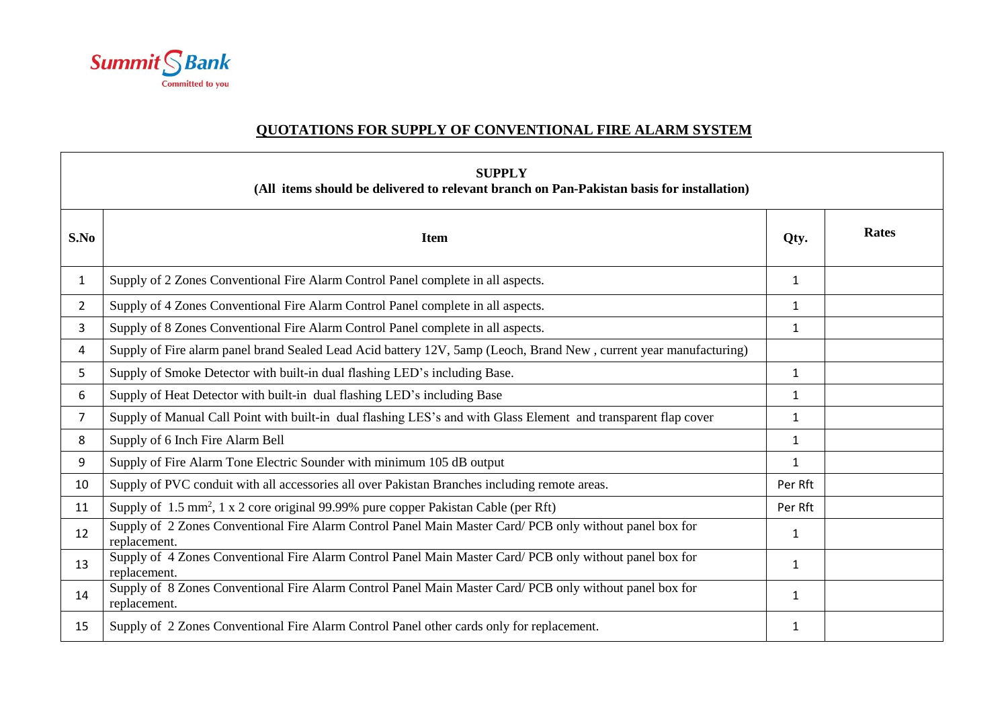

## **QUOTATIONS FOR SUPPLY OF CONVENTIONAL FIRE ALARM SYSTEM**

| <b>SUPPLY</b><br>(All items should be delivered to relevant branch on Pan-Pakistan basis for installation) |                                                                                                                          |              |              |  |  |  |
|------------------------------------------------------------------------------------------------------------|--------------------------------------------------------------------------------------------------------------------------|--------------|--------------|--|--|--|
| S.No                                                                                                       | <b>Item</b>                                                                                                              | Qty.         | <b>Rates</b> |  |  |  |
| $\mathbf{1}$                                                                                               | Supply of 2 Zones Conventional Fire Alarm Control Panel complete in all aspects.                                         | $\mathbf{1}$ |              |  |  |  |
| $\overline{2}$                                                                                             | Supply of 4 Zones Conventional Fire Alarm Control Panel complete in all aspects.                                         | $\mathbf{1}$ |              |  |  |  |
| 3                                                                                                          | Supply of 8 Zones Conventional Fire Alarm Control Panel complete in all aspects.                                         | 1            |              |  |  |  |
| 4                                                                                                          | Supply of Fire alarm panel brand Sealed Lead Acid battery 12V, 5amp (Leoch, Brand New, current year manufacturing)       |              |              |  |  |  |
| 5                                                                                                          | Supply of Smoke Detector with built-in dual flashing LED's including Base.                                               | $\mathbf{1}$ |              |  |  |  |
| 6                                                                                                          | Supply of Heat Detector with built-in dual flashing LED's including Base                                                 | $\mathbf{1}$ |              |  |  |  |
| $\overline{7}$                                                                                             | Supply of Manual Call Point with built-in dual flashing LES's and with Glass Element and transparent flap cover          | $\mathbf{1}$ |              |  |  |  |
| 8                                                                                                          | Supply of 6 Inch Fire Alarm Bell                                                                                         | $\mathbf{1}$ |              |  |  |  |
| 9                                                                                                          | Supply of Fire Alarm Tone Electric Sounder with minimum 105 dB output                                                    | $\mathbf{1}$ |              |  |  |  |
| 10                                                                                                         | Supply of PVC conduit with all accessories all over Pakistan Branches including remote areas.                            | Per Rft      |              |  |  |  |
| 11                                                                                                         | Supply of 1.5 mm <sup>2</sup> , 1 x 2 core original 99.99% pure copper Pakistan Cable (per Rft)                          | Per Rft      |              |  |  |  |
| 12                                                                                                         | Supply of 2 Zones Conventional Fire Alarm Control Panel Main Master Card/ PCB only without panel box for<br>replacement. | 1            |              |  |  |  |
| 13                                                                                                         | Supply of 4 Zones Conventional Fire Alarm Control Panel Main Master Card/ PCB only without panel box for<br>replacement. | 1            |              |  |  |  |
| 14                                                                                                         | Supply of 8 Zones Conventional Fire Alarm Control Panel Main Master Card/ PCB only without panel box for<br>replacement. | $\mathbf{1}$ |              |  |  |  |
| 15                                                                                                         | Supply of 2 Zones Conventional Fire Alarm Control Panel other cards only for replacement.                                | 1            |              |  |  |  |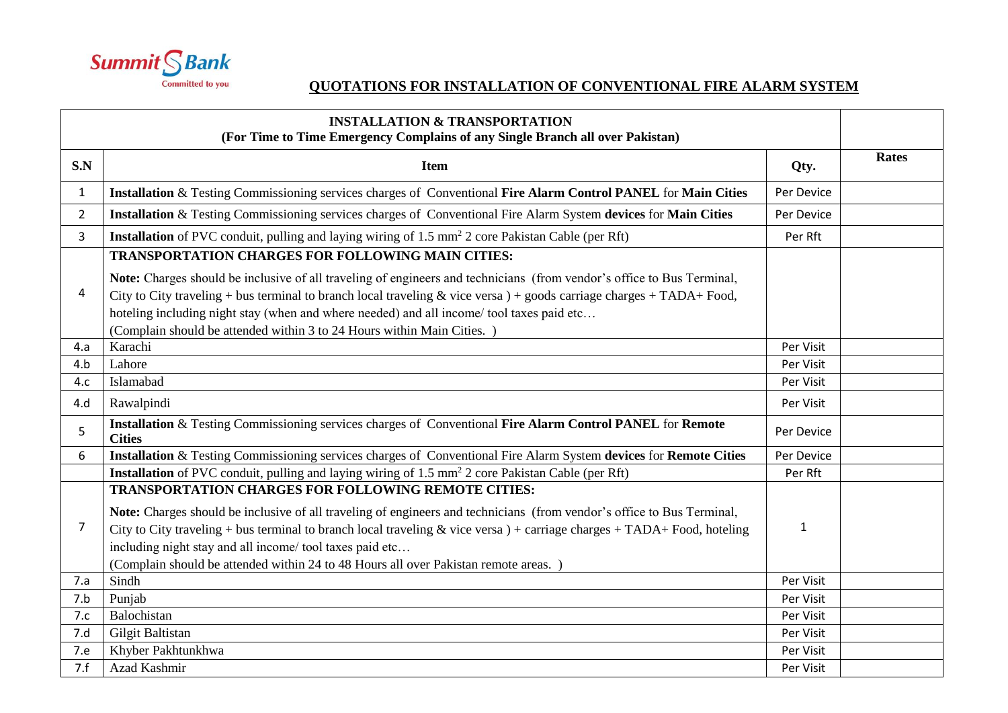

## **QUOTATIONS FOR INSTALLATION OF CONVENTIONAL FIRE ALARM SYSTEM**

|                | <b>INSTALLATION &amp; TRANSPORTATION</b><br>(For Time to Time Emergency Complains of any Single Branch all over Pakistan)                                                                                                                                                                                                                                                                                                                                             |            |       |
|----------------|-----------------------------------------------------------------------------------------------------------------------------------------------------------------------------------------------------------------------------------------------------------------------------------------------------------------------------------------------------------------------------------------------------------------------------------------------------------------------|------------|-------|
| S.N            | <b>Item</b>                                                                                                                                                                                                                                                                                                                                                                                                                                                           | Qty.       | Rates |
| $\mathbf{1}$   | Installation & Testing Commissioning services charges of Conventional Fire Alarm Control PANEL for Main Cities                                                                                                                                                                                                                                                                                                                                                        | Per Device |       |
| $\overline{2}$ | Installation & Testing Commissioning services charges of Conventional Fire Alarm System devices for Main Cities                                                                                                                                                                                                                                                                                                                                                       | Per Device |       |
| 3              | <b>Installation</b> of PVC conduit, pulling and laying wiring of 1.5 mm <sup>2</sup> 2 core Pakistan Cable (per Rft)                                                                                                                                                                                                                                                                                                                                                  | Per Rft    |       |
|                | <b>TRANSPORTATION CHARGES FOR FOLLOWING MAIN CITIES:</b>                                                                                                                                                                                                                                                                                                                                                                                                              |            |       |
| 4              | Note: Charges should be inclusive of all traveling of engineers and technicians (from vendor's office to Bus Terminal,<br>City to City traveling + bus terminal to branch local traveling & vice versa $)$ + goods carriage charges + TADA+ Food,<br>hoteling including night stay (when and where needed) and all income/tool taxes paid etc<br>(Complain should be attended within 3 to 24 Hours within Main Cities.)                                               |            |       |
| 4.a            | Karachi                                                                                                                                                                                                                                                                                                                                                                                                                                                               | Per Visit  |       |
| 4.b            | Lahore                                                                                                                                                                                                                                                                                                                                                                                                                                                                | Per Visit  |       |
| 4.c            | Islamabad                                                                                                                                                                                                                                                                                                                                                                                                                                                             | Per Visit  |       |
| 4.d            | Rawalpindi                                                                                                                                                                                                                                                                                                                                                                                                                                                            | Per Visit  |       |
| 5              | Installation & Testing Commissioning services charges of Conventional Fire Alarm Control PANEL for Remote<br><b>Cities</b>                                                                                                                                                                                                                                                                                                                                            | Per Device |       |
| 6              | Installation & Testing Commissioning services charges of Conventional Fire Alarm System devices for Remote Cities                                                                                                                                                                                                                                                                                                                                                     | Per Device |       |
|                | Installation of PVC conduit, pulling and laying wiring of 1.5 mm <sup>2</sup> 2 core Pakistan Cable (per Rft)                                                                                                                                                                                                                                                                                                                                                         | Per Rft    |       |
| $\overline{7}$ | <b>TRANSPORTATION CHARGES FOR FOLLOWING REMOTE CITIES:</b><br>Note: Charges should be inclusive of all traveling of engineers and technicians (from vendor's office to Bus Terminal,<br>City to City traveling + bus terminal to branch local traveling & vice versa $) +$ carriage charges + TADA+ Food, hoteling<br>including night stay and all income/ tool taxes paid etc<br>(Complain should be attended within 24 to 48 Hours all over Pakistan remote areas.) | 1          |       |
| 7.a            | Sindh                                                                                                                                                                                                                                                                                                                                                                                                                                                                 | Per Visit  |       |
| 7.b            | Punjab                                                                                                                                                                                                                                                                                                                                                                                                                                                                | Per Visit  |       |
| 7.c            | Balochistan                                                                                                                                                                                                                                                                                                                                                                                                                                                           | Per Visit  |       |
| 7.d            | Gilgit Baltistan                                                                                                                                                                                                                                                                                                                                                                                                                                                      | Per Visit  |       |
| 7.e            | Khyber Pakhtunkhwa                                                                                                                                                                                                                                                                                                                                                                                                                                                    | Per Visit  |       |
| 7.f            | Azad Kashmir                                                                                                                                                                                                                                                                                                                                                                                                                                                          | Per Visit  |       |